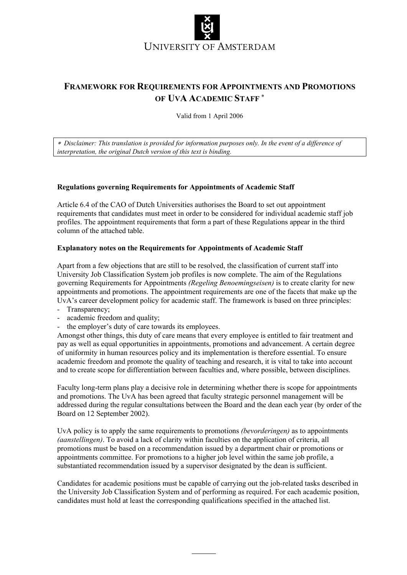

# **FRAMEWORK FOR REQUIREMENTS FOR APPOINTMENTS AND PROMOTIONS OF UVA ACADEMIC STAFF** <sup>∗</sup>

Valid from 1 April 2006

∗ *Disclaimer: This translation is provided for information purposes only. In the event of a difference of interpretation, the original Dutch version of this text is binding.* 

#### **Regulations governing Requirements for Appointments of Academic Staff**

Article 6.4 of the CAO of Dutch Universities authorises the Board to set out appointment requirements that candidates must meet in order to be considered for individual academic staff job profiles. The appointment requirements that form a part of these Regulations appear in the third column of the attached table.

#### **Explanatory notes on the Requirements for Appointments of Academic Staff**

Apart from a few objections that are still to be resolved, the classification of current staff into University Job Classification System job profiles is now complete. The aim of the Regulations governing Requirements for Appointments *(Regeling Benoemingseisen)* is to create clarity for new appointments and promotions. The appointment requirements are one of the facets that make up the UvA's career development policy for academic staff. The framework is based on three principles:

- Transparency;
- academic freedom and quality;
- the employer's duty of care towards its employees.

Amongst other things, this duty of care means that every employee is entitled to fair treatment and pay as well as equal opportunities in appointments, promotions and advancement. A certain degree of uniformity in human resources policy and its implementation is therefore essential. To ensure academic freedom and promote the quality of teaching and research, it is vital to take into account and to create scope for differentiation between faculties and, where possible, between disciplines.

Faculty long-term plans play a decisive role in determining whether there is scope for appointments and promotions. The UvA has been agreed that faculty strategic personnel management will be addressed during the regular consultations between the Board and the dean each year (by order of the Board on 12 September 2002).

UvA policy is to apply the same requirements to promotions *(bevorderingen)* as to appointments *(aanstellingen)*. To avoid a lack of clarity within faculties on the application of criteria, all promotions must be based on a recommendation issued by a department chair or promotions or appointments committee. For promotions to a higher job level within the same job profile, a substantiated recommendation issued by a supervisor designated by the dean is sufficient.

Candidates for academic positions must be capable of carrying out the job-related tasks described in the University Job Classification System and of performing as required. For each academic position, candidates must hold at least the corresponding qualifications specified in the attached list.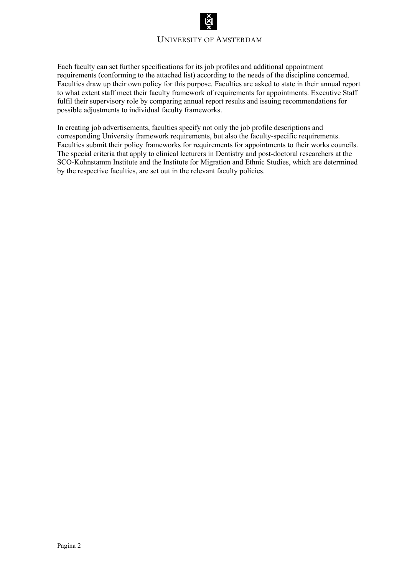### UNIVERSITY OF AMSTERDAM

Each faculty can set further specifications for its job profiles and additional appointment requirements (conforming to the attached list) according to the needs of the discipline concerned. Faculties draw up their own policy for this purpose. Faculties are asked to state in their annual report to what extent staff meet their faculty framework of requirements for appointments. Executive Staff fulfil their supervisory role by comparing annual report results and issuing recommendations for possible adjustments to individual faculty frameworks.

In creating job advertisements, faculties specify not only the job profile descriptions and corresponding University framework requirements, but also the faculty-specific requirements. Faculties submit their policy frameworks for requirements for appointments to their works councils. The special criteria that apply to clinical lecturers in Dentistry and post-doctoral researchers at the SCO-Kohnstamm Institute and the Institute for Migration and Ethnic Studies, which are determined by the respective faculties, are set out in the relevant faculty policies.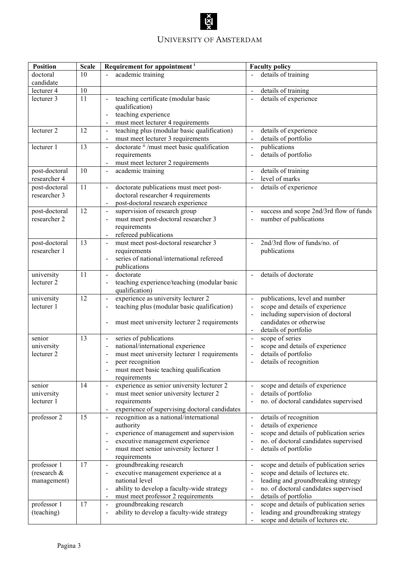## UNIVERSITY OF AMSTERDAM

| <b>Position</b>               | <b>Scale</b>    | Requirement for appointment <sup>i</sup>                                                  | <b>Faculty policy</b>                                                                             |
|-------------------------------|-----------------|-------------------------------------------------------------------------------------------|---------------------------------------------------------------------------------------------------|
| doctoral                      | 10              | academic training                                                                         | details of training                                                                               |
| candidate                     |                 |                                                                                           |                                                                                                   |
| lecturer 4                    | 10              |                                                                                           | details of training<br>$\overline{\phantom{a}}$                                                   |
| lecturer 3                    | $\overline{11}$ | teaching certificate (modular basic                                                       | details of experience<br>$\overline{\phantom{a}}$                                                 |
|                               |                 | qualification)                                                                            |                                                                                                   |
|                               |                 | teaching experience                                                                       |                                                                                                   |
|                               |                 | must meet lecturer 4 requirements                                                         |                                                                                                   |
| lecturer 2                    | 12              | teaching plus (modular basic qualification)<br>$\blacksquare$                             | details of experience                                                                             |
|                               |                 | must meet lecturer 3 requirements                                                         | details of portfolio                                                                              |
| lecturer 1                    | 13              | doctorate ii /must meet basic qualification<br>$\blacksquare$                             | publications<br>$\blacksquare$                                                                    |
|                               |                 | requirements                                                                              | details of portfolio                                                                              |
|                               |                 | must meet lecturer 2 requirements                                                         |                                                                                                   |
| post-doctoral<br>researcher 4 | 10              | academic training<br>$\Box$                                                               | details of training<br>level of marks<br>$\mathbf{r}$                                             |
|                               | 11              |                                                                                           |                                                                                                   |
| post-doctoral<br>researcher 3 |                 | doctorate publications must meet post-                                                    | details of experience<br>$\omega$                                                                 |
|                               |                 | doctoral researcher 4 requirements<br>post-doctoral research experience<br>$\blacksquare$ |                                                                                                   |
|                               | 12              | supervision of research group                                                             |                                                                                                   |
| post-doctoral<br>researcher 2 |                 | $\blacksquare$<br>must meet post-doctoral researcher 3<br>$\overline{\phantom{a}}$        | success and scope 2nd/3rd flow of funds<br>$\qquad \qquad \blacksquare$<br>number of publications |
|                               |                 | requirements                                                                              |                                                                                                   |
|                               |                 | refereed publications<br>$\overline{\phantom{a}}$                                         |                                                                                                   |
| post-doctoral                 | 13              | must meet post-doctoral researcher 3<br>$\overline{\phantom{a}}$                          | 2nd/3rd flow of funds/no. of<br>$\overline{a}$                                                    |
| researcher 1                  |                 | requirements                                                                              | publications                                                                                      |
|                               |                 | series of national/international refereed                                                 |                                                                                                   |
|                               |                 | publications                                                                              |                                                                                                   |
| university                    | 11              | doctorate<br>$\blacksquare$                                                               | details of doctorate                                                                              |
| lecturer 2                    |                 | teaching experience/teaching (modular basic                                               |                                                                                                   |
|                               |                 | qualification)                                                                            |                                                                                                   |
| university                    | 12              | experience as university lecturer 2<br>$\blacksquare$                                     | publications, level and number<br>$\overline{a}$                                                  |
| lecturer 1                    |                 | teaching plus (modular basic qualification)<br>$\qquad \qquad \blacksquare$               | scope and details of experience                                                                   |
|                               |                 |                                                                                           | including supervision of doctoral                                                                 |
|                               |                 | must meet university lecturer 2 requirements<br>$\overline{\phantom{a}}$                  | candidates or otherwise                                                                           |
|                               |                 |                                                                                           | details of portfolio<br>$\sim$                                                                    |
| senior                        | 13              | series of publications<br>$\blacksquare$                                                  | scope of series<br>$\blacksquare$                                                                 |
| university                    |                 | national/international experience<br>$\overline{\phantom{a}}$                             | scope and details of experience<br>$\blacksquare$                                                 |
| lecturer 2                    |                 | must meet university lecturer 1 requirements                                              | details of portfolio<br>$\qquad \qquad \blacksquare$                                              |
|                               |                 | peer recognition                                                                          | details of recognition<br>$\qquad \qquad \blacksquare$                                            |
|                               |                 | must meet basic teaching qualification                                                    |                                                                                                   |
|                               |                 | requirements                                                                              |                                                                                                   |
| senior                        | 14              | experience as senior university lecturer 2<br>$\blacksquare$                              | scope and details of experience<br>$\qquad \qquad \blacksquare$                                   |
| university                    |                 | must meet senior university lecturer 2<br>$\qquad \qquad \blacksquare$                    | details of portfolio<br>$\overline{\phantom{0}}$                                                  |
| lecturer 1                    |                 | requirements<br>experience of supervising doctoral candidates                             | no. of doctoral candidates supervised                                                             |
| professor 2                   | 15              | recognition as a national/international<br>$\blacksquare$                                 | details of recognition<br>$\frac{1}{2}$                                                           |
|                               |                 | authority                                                                                 | details of experience<br>$\overline{a}$                                                           |
|                               |                 | experience of management and supervision                                                  | scope and details of publication series<br>$\overline{\phantom{0}}$                               |
|                               |                 | executive management experience                                                           | no. of doctoral candidates supervised                                                             |
|                               |                 | must meet senior university lecturer 1                                                    | details of portfolio<br>$\qquad \qquad \blacksquare$                                              |
|                               |                 | requirements                                                                              |                                                                                                   |
| professor 1                   | 17              | groundbreaking research<br>$\blacksquare$                                                 | scope and details of publication series<br>$\frac{1}{2}$                                          |
| (research $&$                 |                 | executive management experience at a                                                      | scope and details of lectures etc.<br>$\overline{\phantom{0}}$                                    |
| management)                   |                 | national level                                                                            | leading and groundbreaking strategy<br>$\overline{\phantom{0}}$                                   |
|                               |                 | ability to develop a faculty-wide strategy                                                | no. of doctoral candidates supervised<br>-                                                        |
|                               |                 | must meet professor 2 requirements                                                        | details of portfolio<br>$\overline{\phantom{0}}$                                                  |
| professor 1                   | 17              | groundbreaking research<br>$\blacksquare$                                                 | scope and details of publication series<br>$\qquad \qquad \blacksquare$                           |
| (teaching)                    |                 | ability to develop a faculty-wide strategy<br>$\qquad \qquad \blacksquare$                | leading and groundbreaking strategy<br>$\overline{\phantom{0}}$                                   |
|                               |                 |                                                                                           | scope and details of lectures etc.                                                                |